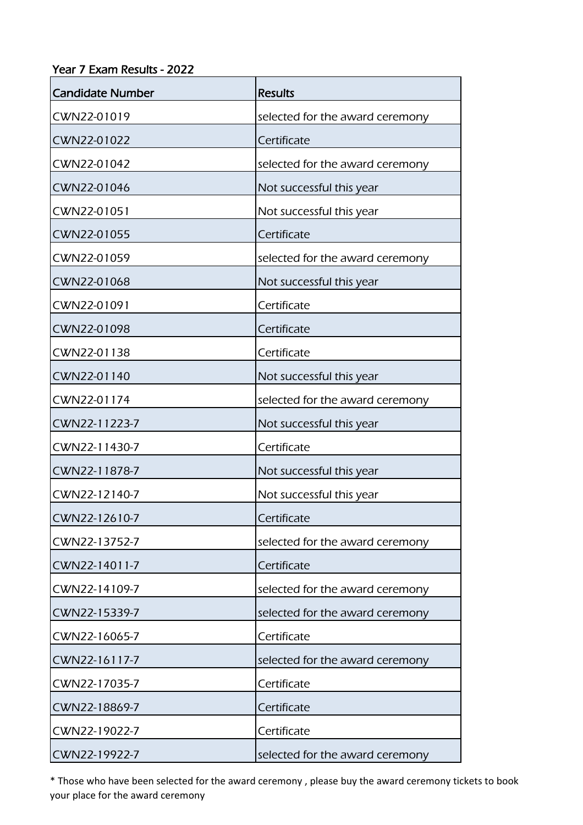Year 7 Exam Results - 2022

| <b>Candidate Number</b> | <b>Results</b>                  |
|-------------------------|---------------------------------|
| CWN22-01019             | selected for the award ceremony |
| CWN22-01022             | Certificate                     |
| CWN22-01042             | selected for the award ceremony |
| CWN22-01046             | Not successful this year        |
| CWN22-01051             | Not successful this year        |
| CWN22-01055             | Certificate                     |
| CWN22-01059             | selected for the award ceremony |
| CWN22-01068             | Not successful this year        |
| CWN22-01091             | Certificate                     |
| CWN22-01098             | Certificate                     |
| CWN22-01138             | Certificate                     |
| CWN22-01140             | Not successful this year        |
| CWN22-01174             | selected for the award ceremony |
| CWN22-11223-7           | Not successful this year        |
| CWN22-11430-7           | Certificate                     |
| CWN22-11878-7           | Not successful this year        |
| CWN22-12140-7           | Not successful this year        |
| CWN22-12610-7           | Certificate                     |
| CWN22-13752-7           | selected for the award ceremony |
| CWN22-14011-7           | Certificate                     |
| CWN22-14109-7           | selected for the award ceremony |
| CWN22-15339-7           | selected for the award ceremony |
| CWN22-16065-7           | Certificate                     |
| CWN22-16117-7           | selected for the award ceremony |
| CWN22-17035-7           | Certificate                     |
| CWN22-18869-7           | Certificate                     |
| CWN22-19022-7           | Certificate                     |
| CWN22-19922-7           | selected for the award ceremony |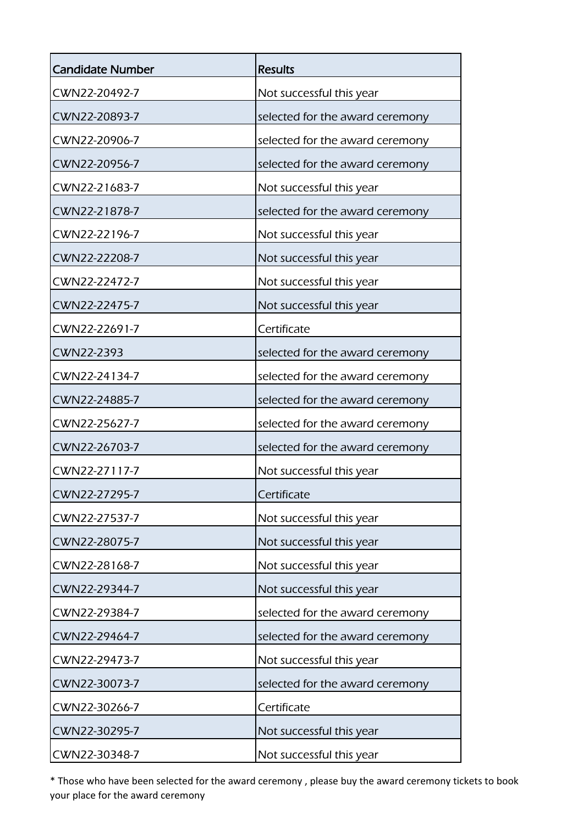| <b>Candidate Number</b> | <b>Results</b>                  |
|-------------------------|---------------------------------|
| CWN22-20492-7           | Not successful this year        |
| CWN22-20893-7           | selected for the award ceremony |
| CWN22-20906-7           | selected for the award ceremony |
| CWN22-20956-7           | selected for the award ceremony |
| CWN22-21683-7           | Not successful this year        |
| CWN22-21878-7           | selected for the award ceremony |
| CWN22-22196-7           | Not successful this year        |
| CWN22-22208-7           | Not successful this year        |
| CWN22-22472-7           | Not successful this year        |
| CWN22-22475-7           | Not successful this year        |
| CWN22-22691-7           | Certificate                     |
| CWN22-2393              | selected for the award ceremony |
| CWN22-24134-7           | selected for the award ceremony |
| CWN22-24885-7           | selected for the award ceremony |
| CWN22-25627-7           | selected for the award ceremony |
| CWN22-26703-7           | selected for the award ceremony |
| CWN22-27117-7           | Not successful this year        |
| CWN22-27295-7           | Certificate                     |
| CWN22-27537-7           | Not successful this year        |
| CWN22-28075-7           | Not successful this year        |
| CWN22-28168-7           | Not successful this year        |
| CWN22-29344-7           | Not successful this year        |
| CWN22-29384-7           | selected for the award ceremony |
| CWN22-29464-7           | selected for the award ceremony |
| CWN22-29473-7           | Not successful this year        |
| CWN22-30073-7           | selected for the award ceremony |
| CWN22-30266-7           | Certificate                     |
| CWN22-30295-7           | Not successful this year        |
| CWN22-30348-7           | Not successful this year        |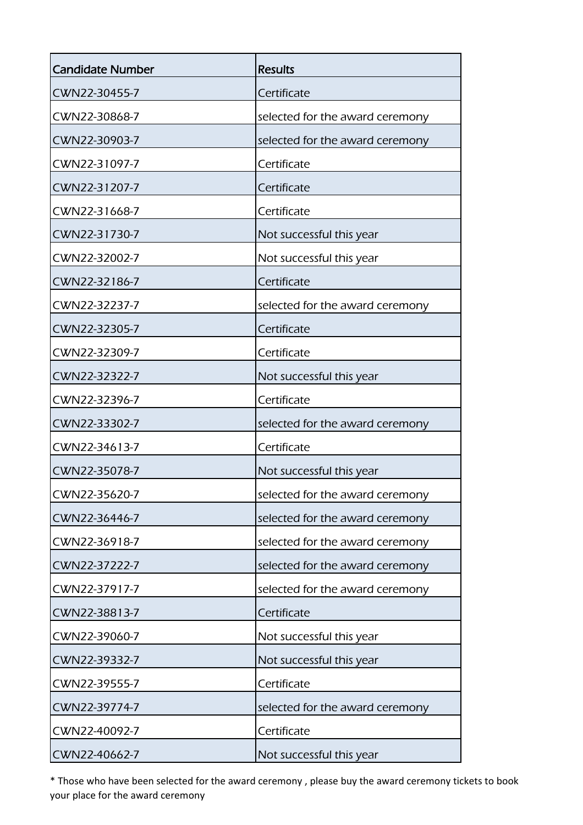| <b>Candidate Number</b> | <b>Results</b>                  |
|-------------------------|---------------------------------|
| CWN22-30455-7           | Certificate                     |
| CWN22-30868-7           | selected for the award ceremony |
| CWN22-30903-7           | selected for the award ceremony |
| CWN22-31097-7           | Certificate                     |
| CWN22-31207-7           | Certificate                     |
| CWN22-31668-7           | Certificate                     |
| CWN22-31730-7           | Not successful this year        |
| CWN22-32002-7           | Not successful this year        |
| CWN22-32186-7           | Certificate                     |
| CWN22-32237-7           | selected for the award ceremony |
| CWN22-32305-7           | Certificate                     |
| CWN22-32309-7           | Certificate                     |
| CWN22-32322-7           | Not successful this year        |
| CWN22-32396-7           | Certificate                     |
| CWN22-33302-7           | selected for the award ceremony |
| CWN22-34613-7           | Certificate                     |
| CWN22-35078-7           | Not successful this year        |
| CWN22-35620-7           | selected for the award ceremony |
| CWN22-36446-7           | selected for the award ceremony |
| CWN22-36918-7           | selected for the award ceremony |
| CWN22-37222-7           | selected for the award ceremony |
| CWN22-37917-7           | selected for the award ceremony |
| CWN22-38813-7           | Certificate                     |
| CWN22-39060-7           | Not successful this year        |
| CWN22-39332-7           | Not successful this year        |
| CWN22-39555-7           | Certificate                     |
| CWN22-39774-7           | selected for the award ceremony |
| CWN22-40092-7           | Certificate                     |
| CWN22-40662-7           | Not successful this year        |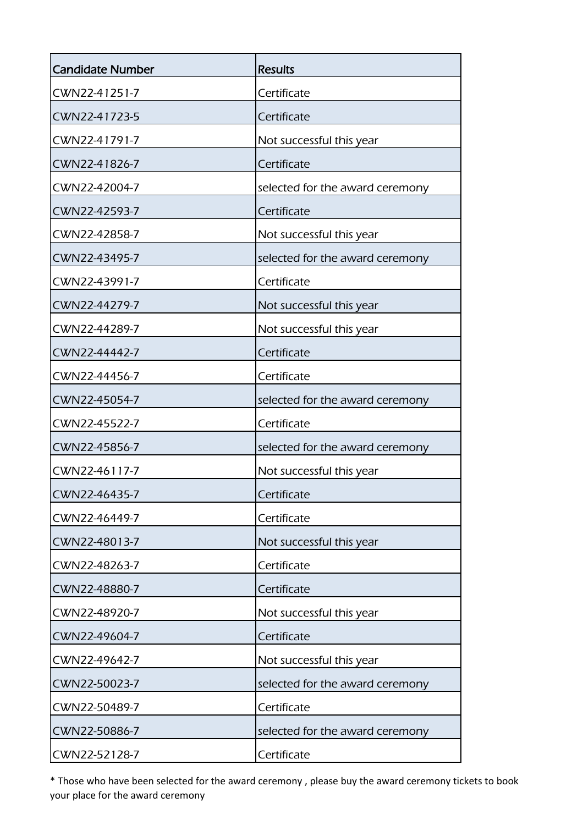| <b>Candidate Number</b> | <b>Results</b>                  |
|-------------------------|---------------------------------|
| CWN22-41251-7           | Certificate                     |
| CWN22-41723-5           | Certificate                     |
| CWN22-41791-7           | Not successful this year        |
| CWN22-41826-7           | Certificate                     |
| CWN22-42004-7           | selected for the award ceremony |
| CWN22-42593-7           | Certificate                     |
| CWN22-42858-7           | Not successful this year        |
| CWN22-43495-7           | selected for the award ceremony |
| CWN22-43991-7           | Certificate                     |
| CWN22-44279-7           | Not successful this year        |
| CWN22-44289-7           | Not successful this year        |
| CWN22-44442-7           | Certificate                     |
| CWN22-44456-7           | Certificate                     |
| CWN22-45054-7           | selected for the award ceremony |
| CWN22-45522-7           | Certificate                     |
| CWN22-45856-7           | selected for the award ceremony |
| CWN22-46117-7           | Not successful this year        |
| CWN22-46435-7           | Certificate                     |
| CWN22-46449-7           | Certificate                     |
| CWN22-48013-7           | Not successful this year        |
| CWN22-48263-7           | Certificate                     |
| CWN22-48880-7           | Certificate                     |
| CWN22-48920-7           | Not successful this year        |
| CWN22-49604-7           | Certificate                     |
| CWN22-49642-7           | Not successful this year        |
| CWN22-50023-7           | selected for the award ceremony |
| CWN22-50489-7           | Certificate                     |
| CWN22-50886-7           | selected for the award ceremony |
| CWN22-52128-7           | Certificate                     |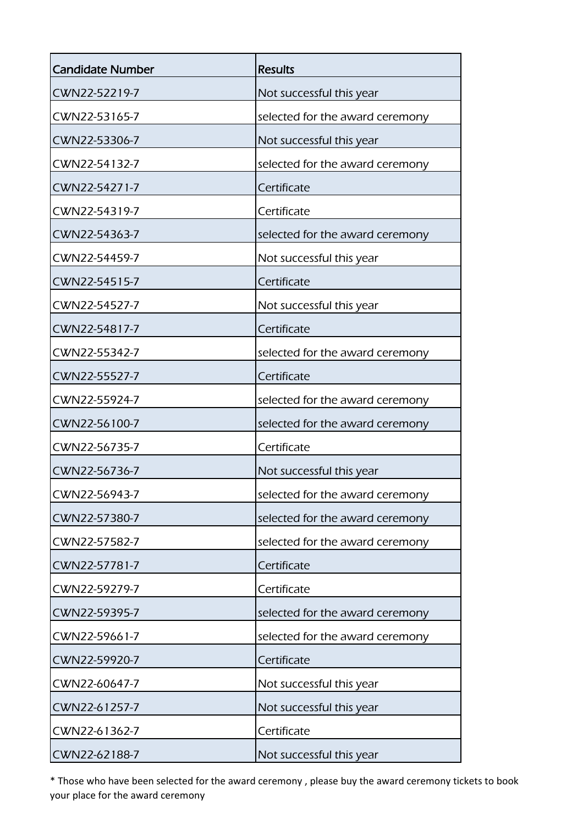| <b>Candidate Number</b> | <b>Results</b>                  |
|-------------------------|---------------------------------|
| CWN22-52219-7           | Not successful this year        |
| CWN22-53165-7           | selected for the award ceremony |
| CWN22-53306-7           | Not successful this year        |
| CWN22-54132-7           | selected for the award ceremony |
| CWN22-54271-7           | Certificate                     |
| CWN22-54319-7           | Certificate                     |
| CWN22-54363-7           | selected for the award ceremony |
| CWN22-54459-7           | Not successful this year        |
| CWN22-54515-7           | Certificate                     |
| CWN22-54527-7           | Not successful this year        |
| CWN22-54817-7           | Certificate                     |
| CWN22-55342-7           | selected for the award ceremony |
| CWN22-55527-7           | Certificate                     |
| CWN22-55924-7           | selected for the award ceremony |
| CWN22-56100-7           | selected for the award ceremony |
| CWN22-56735-7           | Certificate                     |
| CWN22-56736-7           | Not successful this year        |
| CWN22-56943-7           | selected for the award ceremony |
| CWN22-57380-7           | selected for the award ceremony |
| CWN22-57582-7           | selected for the award ceremony |
| CWN22-57781-7           | Certificate                     |
| CWN22-59279-7           | Certificate                     |
| CWN22-59395-7           | selected for the award ceremony |
| CWN22-59661-7           | selected for the award ceremony |
| CWN22-59920-7           | Certificate                     |
| CWN22-60647-7           | Not successful this year        |
| CWN22-61257-7           | Not successful this year        |
| CWN22-61362-7           | Certificate                     |
| CWN22-62188-7           | Not successful this year        |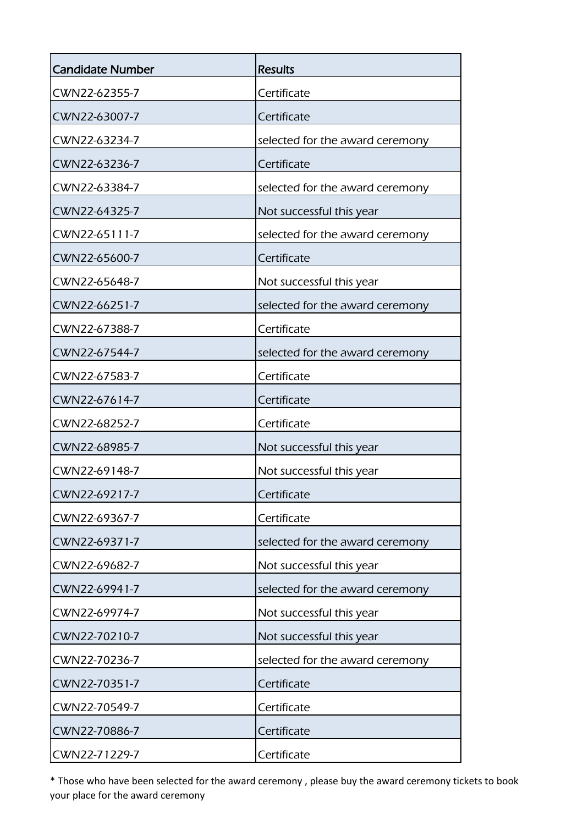| <b>Candidate Number</b> | <b>Results</b>                  |
|-------------------------|---------------------------------|
| CWN22-62355-7           | Certificate                     |
| CWN22-63007-7           | Certificate                     |
| CWN22-63234-7           | selected for the award ceremony |
| CWN22-63236-7           | Certificate                     |
| CWN22-63384-7           | selected for the award ceremony |
| CWN22-64325-7           | Not successful this year        |
| CWN22-65111-7           | selected for the award ceremony |
| CWN22-65600-7           | Certificate                     |
| CWN22-65648-7           | Not successful this year        |
| CWN22-66251-7           | selected for the award ceremony |
| CWN22-67388-7           | Certificate                     |
| CWN22-67544-7           | selected for the award ceremony |
| CWN22-67583-7           | Certificate                     |
| CWN22-67614-7           | Certificate                     |
| CWN22-68252-7           | Certificate                     |
| CWN22-68985-7           | Not successful this year        |
| CWN22-69148-7           | Not successful this year        |
| CWN22-69217-7           | Certificate                     |
| CWN22-69367-7           | Certificate                     |
| CWN22-69371-7           | selected for the award ceremony |
| CWN22-69682-7           | Not successful this year        |
| CWN22-69941-7           | selected for the award ceremony |
| CWN22-69974-7           | Not successful this year        |
| CWN22-70210-7           | Not successful this year        |
| CWN22-70236-7           | selected for the award ceremony |
| CWN22-70351-7           | Certificate                     |
| CWN22-70549-7           | Certificate                     |
| CWN22-70886-7           | Certificate                     |
| CWN22-71229-7           | Certificate                     |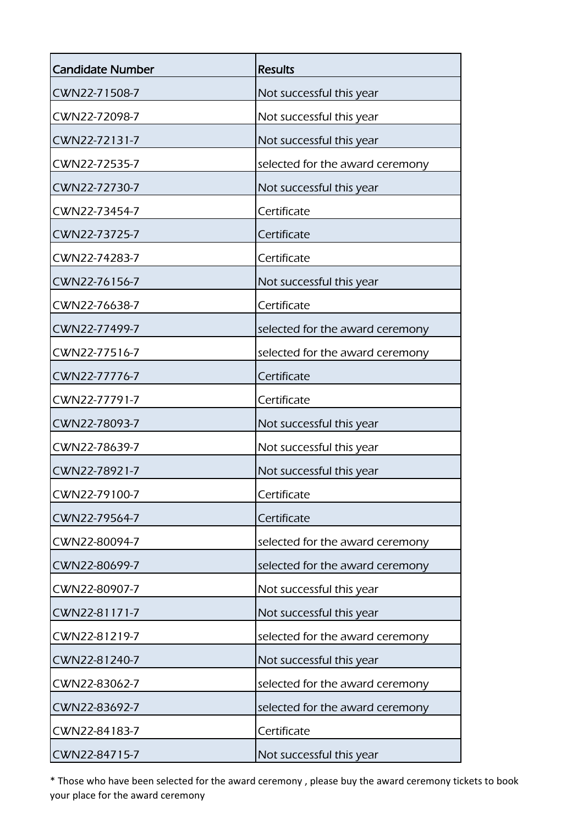| <b>Candidate Number</b> | <b>Results</b>                  |
|-------------------------|---------------------------------|
| CWN22-71508-7           | Not successful this year        |
| CWN22-72098-7           | Not successful this year        |
| CWN22-72131-7           | Not successful this year        |
| CWN22-72535-7           | selected for the award ceremony |
| CWN22-72730-7           | Not successful this year        |
| CWN22-73454-7           | Certificate                     |
| CWN22-73725-7           | Certificate                     |
| CWN22-74283-7           | Certificate                     |
| CWN22-76156-7           | Not successful this year        |
| CWN22-76638-7           | Certificate                     |
| CWN22-77499-7           | selected for the award ceremony |
| CWN22-77516-7           | selected for the award ceremony |
| CWN22-77776-7           | Certificate                     |
| CWN22-77791-7           | Certificate                     |
| CWN22-78093-7           | Not successful this year        |
| CWN22-78639-7           | Not successful this year        |
| CWN22-78921-7           | Not successful this year        |
| CWN22-79100-7           | Certificate                     |
| CWN22-79564-7           | Certificate                     |
| CWN22-80094-7           | selected for the award ceremony |
| CWN22-80699-7           | selected for the award ceremony |
| CWN22-80907-7           | Not successful this year        |
| CWN22-81171-7           | Not successful this year        |
| CWN22-81219-7           | selected for the award ceremony |
| CWN22-81240-7           | Not successful this year        |
| CWN22-83062-7           | selected for the award ceremony |
| CWN22-83692-7           | selected for the award ceremony |
| CWN22-84183-7           | Certificate                     |
| CWN22-84715-7           | Not successful this year        |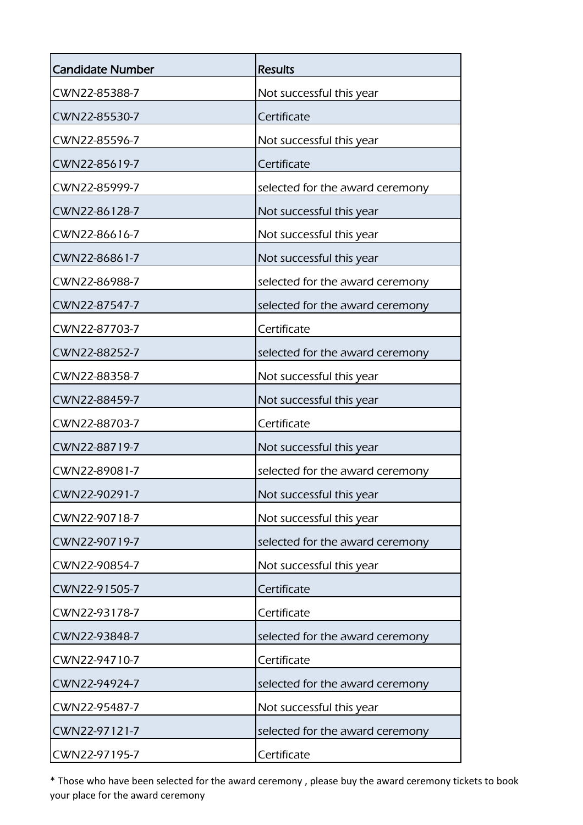| <b>Candidate Number</b> | <b>Results</b>                  |
|-------------------------|---------------------------------|
| CWN22-85388-7           | Not successful this year        |
| CWN22-85530-7           | Certificate                     |
| CWN22-85596-7           | Not successful this year        |
| CWN22-85619-7           | Certificate                     |
| CWN22-85999-7           | selected for the award ceremony |
| CWN22-86128-7           | Not successful this year        |
| CWN22-86616-7           | Not successful this year        |
| CWN22-86861-7           | Not successful this year        |
| CWN22-86988-7           | selected for the award ceremony |
| CWN22-87547-7           | selected for the award ceremony |
| CWN22-87703-7           | Certificate                     |
| CWN22-88252-7           | selected for the award ceremony |
| CWN22-88358-7           | Not successful this year        |
| CWN22-88459-7           | Not successful this year        |
| CWN22-88703-7           | Certificate                     |
| CWN22-88719-7           | Not successful this year        |
| CWN22-89081-7           | selected for the award ceremony |
| CWN22-90291-7           | Not successful this year        |
| CWN22-90718-7           | Not successful this year        |
| CWN22-90719-7           | selected for the award ceremony |
| CWN22-90854-7           | Not successful this year        |
| CWN22-91505-7           | Certificate                     |
| CWN22-93178-7           | Certificate                     |
| CWN22-93848-7           | selected for the award ceremony |
| CWN22-94710-7           | Certificate                     |
| CWN22-94924-7           | selected for the award ceremony |
| CWN22-95487-7           | Not successful this year        |
| CWN22-97121-7           | selected for the award ceremony |
| CWN22-97195-7           | Certificate                     |